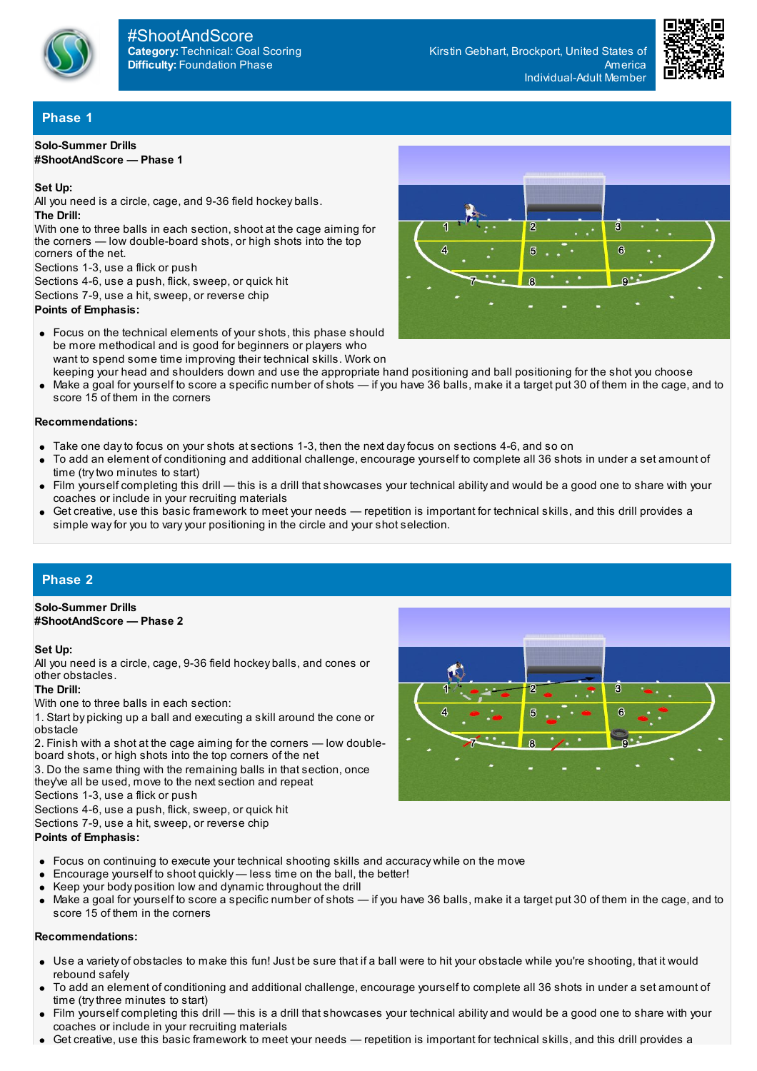

**Category:** Technical: Goal Scoring **Difficulty:** Foundation Phase #ShootAndScore

Kirstin Gebhart, Brockport, United States of America Individual-Adult Member



# **Phase 1**

### **Solo-Summer Drills #ShootAndScore — Phase 1**

**Set Up:**

All you need is a circle, cage, and 9-36 field hockey balls. **The Drill:**

With one to three balls in each section, shoot at the cage aiming for the corners — low double-board shots, or high shots into the top corners of the net.

Sections 1-3, use a flick or push

Sections 4-6, use a push, flick, sweep, or quick hit

Sections 7-9, use a hit, sweep, or reverse chip

### **Points of Emphasis:**

- Focus on the technical elements of your shots, this phase should be more methodical and is good for beginners or players who want to spend some time improving their technical skills. Work on
- keeping your head and shoulders down and use the appropriate hand positioning and ball positioning for the shot you choose Make a goal for yourself to score a specific number of shots — if you have 36 balls, make it a target put 30 of them in the cage, and to
- score 15 of them in the corners

### **Recommendations:**

- Take one dayto focus on your shots at sections 1-3, then the next dayfocus on sections 4-6, and so on
- To add an element of conditioning and additional challenge, encourage yourself to complete all 36 shots in under a set amount of time (try two minutes to start)
- Film yourself completing this drill this is a drill that showcases your technical ability and would be a good one to share with your coaches or include in your recruiting materials
- Get creative, use this basic framework to meet your needs repetition is important for technical skills, and this drill provides a simple wayfor you to varyyour positioning in the circle and your shot selection.

# **Phase 2**

### **Solo-Summer Drills**

**#ShootAndScore — Phase 2**

### **Set Up:**

All you need is a circle, cage, 9-36 field hockey balls, and cones or other obstacles.

### **The Drill:**

With one to three balls in each section:

1. Start by picking up a ball and executing a skill around the cone or obstacle

2. Finish with a shot at the cage aiming for the corners — low doubleboard shots, or high shots into the top corners of the net

3. Do the same thing with the remaining balls in that section, once they've all be used, move to the next section and repeat

Sections 1-3, use a flick or push

Sections 4-6, use a push, flick, sweep, or quick hit

Sections 7-9, use a hit, sweep, or reverse chip

## **Points of Emphasis:**

- Focus on continuing to execute your technical shooting skills and accuracy while on the move
- Encourage yourself to shoot quickly less time on the ball, the better!
- Keep your body position low and dynamic throughout the drill
- Make a goal for yourself to score a specific number of shots if you have 36 balls, make it a target put 30 of them in the cage, and to  $\bullet$ score 15 of them in the corners

# **Recommendations:**

- Use a variety of obstacles to make this fun! Just be sure that if a ball were to hit your obstacle while you're shooting, that it would rebound safely
- To add an element of conditioning and additional challenge, encourage yourself to complete all 36 shots in under a set amount of time (try three minutes to start)
- Film yourself completing this drill this is a drill that showcases your technical ability and would be a good one to share with your  $\bullet$ coaches or include in your recruiting materials
- Get creative, use this basic framework to meet your needs repetition is important for technical skills, and this drill provides a



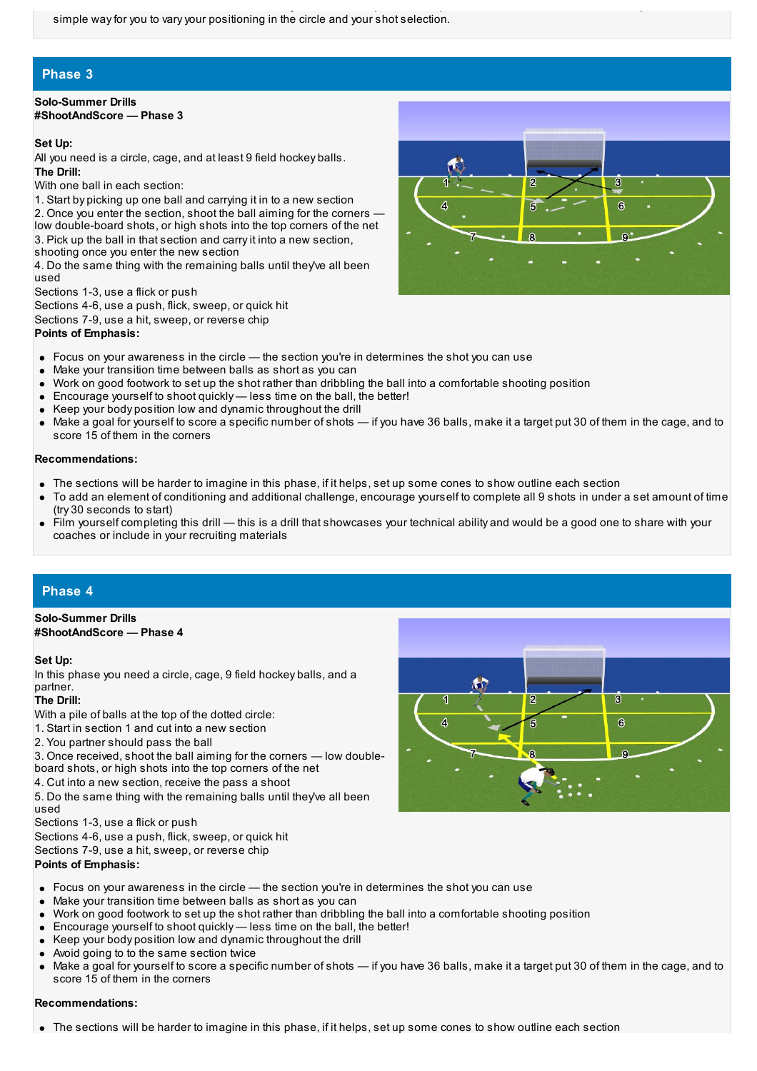## **Phase 3**

### **Solo-Summer Drills #ShootAndScore — Phase 3**

### **Set Up:**

All you need is a circle, cage, and at least 9 field hockey balls. **The Drill:**

With one ball in each section:

1. Start by picking up one ball and carrying it in to a new section

2. Once you enter the section, shoot the ball aiming for the corners  $\cdot$ low double-board shots, or high shots into the top corners of the net 3. Pick up the ball in that section and carryit into a new section, shooting once you enter the new section

4. Do the same thing with the remaining balls until they've all been used

Sections 1-3, use a flick or push

Sections 4-6, use a push, flick, sweep, or quick hit

Sections 7-9, use a hit, sweep, or reverse chip

**Points of Emphasis:**

- $\bullet$  Focus on your awareness in the circle the section you're in determines the shot you can use
- Make your transition time between balls as short as you can
- Work on good footwork to set up the shot rather than dribbling the ball into a comfortable shooting position
- Encourage yourself to shoot quickly less time on the ball, the better!
- Keep your body position low and dynamic throughout the drill
- Make a goal for yourself to score a specific number of shots if you have 36 balls, make it a target put 30 of them in the cage, and to score 15 of them in the corners

Get creative, use this basic framework to meet your needs — repetition is important for technical skills, and this drill provides a

### **Recommendations:**

- The sections will be harder to imagine in this phase, if it helps, set up some cones to show outline each section
- To add an element of conditioning and additional challenge, encourage yourself to complete all 9 shots in under a set amount of time (try 30 seconds to start)
- Film yourself completing this drill this is a drill that showcases your technical ability and would be a good one to share with your coaches or include in your recruiting materials

## **Phase 4**

#### **Solo-Summer Drills #ShootAndScore — Phase 4**

### **Set Up:**

In this phase you need a circle, cage, 9 field hockey balls, and a partner.

### **The Drill:**

With a pile of balls at the top of the dotted circle:

1. Start in section 1 and cut into a new section

2. You partner should pass the ball

3. Once received, shoot the ball aiming for the corners — low doubleboard shots, or high shots into the top corners of the net

4. Cut into a new section, receive the pass a shoot

5. Do the same thing with the remaining balls until they've all been used

Sections 1-3, use a flick or push

Sections 4-6, use a push, flick, sweep, or quick hit

Sections 7-9, use a hit, sweep, or reverse chip

### **Points of Emphasis:**

- Focus on your awareness in the circle the section you're in determines the shot you can use
- Make your transition time between balls as short as you can
- Work on good footwork to set up the shot rather than dribbling the ball into a comfortable shooting position
- Encourage yourself to shoot quickly less time on the ball, the better!
- Keep your body position low and dynamic throughout the drill
- Avoid going to to the same section twice
- Make a goal for yourself to score a specific number of shots if you have 36 balls, make it a target put 30 of them in the cage, and to score 15 of them in the corners

### **Recommendations:**

The sections will be harder to imagine in this phase, if it helps, set up some cones to show outline each section